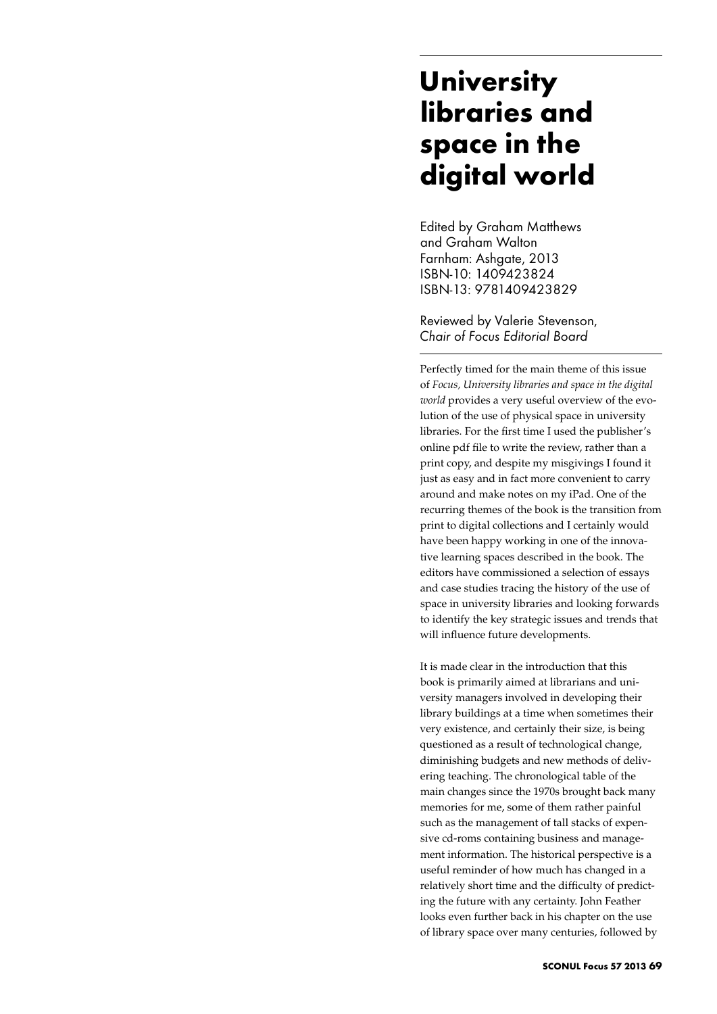## **University libraries and space in the digital world**

Edited by Graham Matthews and Graham Walton Farnham: Ashaate, 2013 ISBN-10: 1409423824 ISBN-13: 9781409423829

Reviewed by Valerie Stevenson, *Chair of Focus Editorial Board*

Perfectly timed for the main theme of this issue of *Focus, University libraries and space in the digital world* provides a very useful overview of the evolution of the use of physical space in university libraries. For the first time I used the publisher's online pdf file to write the review, rather than a print copy, and despite my misgivings I found it just as easy and in fact more convenient to carry around and make notes on my iPad. One of the recurring themes of the book is the transition from print to digital collections and I certainly would have been happy working in one of the innovative learning spaces described in the book. The editors have commissioned a selection of essays and case studies tracing the history of the use of space in university libraries and looking forwards to identify the key strategic issues and trends that will influence future developments.

It is made clear in the introduction that this book is primarily aimed at librarians and university managers involved in developing their library buildings at a time when sometimes their very existence, and certainly their size, is being questioned as a result of technological change, diminishing budgets and new methods of delivering teaching. The chronological table of the main changes since the 1970s brought back many memories for me, some of them rather painful such as the management of tall stacks of expensive cd-roms containing business and management information. The historical perspective is a useful reminder of how much has changed in a relatively short time and the difficulty of predicting the future with any certainty. John Feather looks even further back in his chapter on the use of library space over many centuries, followed by